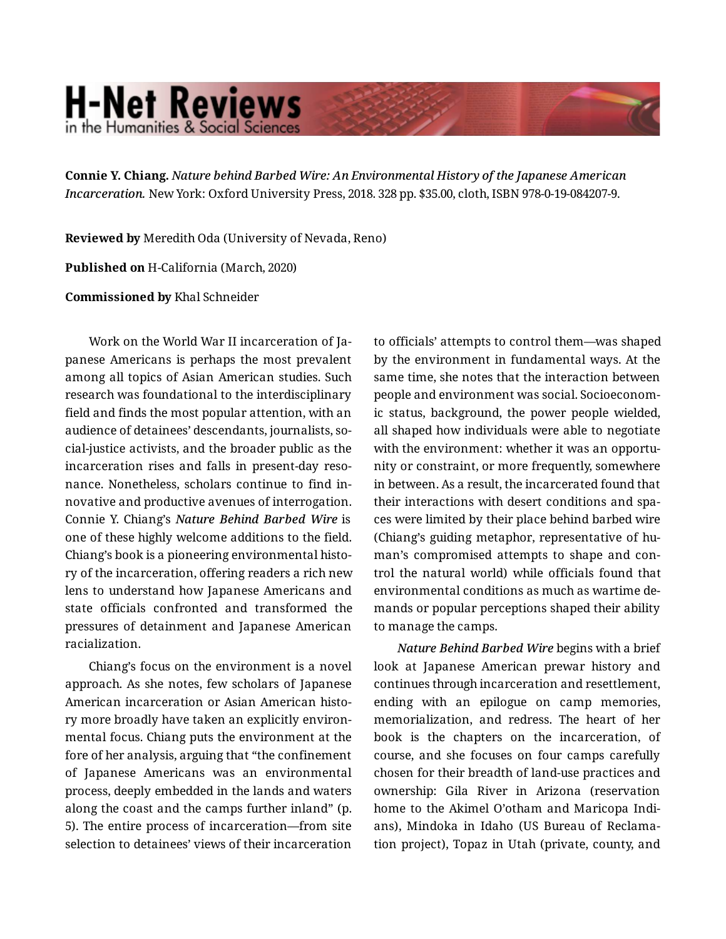## **H-Net Reviews** in the Humanities & Social Science

**Connie Y. Chiang.** *Nature behind Barbed Wire: An Environmental History of the Japanese American Incarceration.* New York: Oxford University Press, 2018. 328 pp. \$35.00, cloth, ISBN 978-0-19-084207-9.

**Reviewed by** Meredith Oda (University of Nevada, Reno)

**Published on** H-California (March, 2020)

**Commissioned by** Khal Schneider

Work on the World War II incarceration of Ja‐ panese Americans is perhaps the most prevalent among all topics of Asian American studies. Such research was foundational to the interdisciplinary field and finds the most popular attention, with an audience of detainees' descendants, journalists, so‐ cial-justice activists, and the broader public as the incarceration rises and falls in present-day reso‐ nance. Nonetheless, scholars continue to find in‐ novative and productive avenues of interrogation. Connie Y. Chiang's *Nature Behind Barbed Wire* is one of these highly welcome additions to the field. Chiang's book is a pioneering environmental histo‐ ry of the incarceration, offering readers a rich new lens to understand how Japanese Americans and state officials confronted and transformed the pressures of detainment and Japanese American racialization.

Chiang's focus on the environment is a novel approach. As she notes, few scholars of Japanese American incarceration or Asian American histo‐ ry more broadly have taken an explicitly environ‐ mental focus. Chiang puts the environment at the fore of her analysis, arguing that "the confinement of Japanese Americans was an environmental process, deeply embedded in the lands and waters along the coast and the camps further inland" (p. 5). The entire process of incarceration—from site selection to detainees' views of their incarceration to officials' attempts to control them—was shaped by the environment in fundamental ways. At the same time, she notes that the interaction between people and environment was social. Socioeconom‐ ic status, background, the power people wielded, all shaped how individuals were able to negotiate with the environment: whether it was an opportunity or constraint, or more frequently, somewhere in between. As a result, the incarcerated found that their interactions with desert conditions and spa‐ ces were limited by their place behind barbed wire (Chiang's guiding metaphor, representative of hu‐ man's compromised attempts to shape and con‐ trol the natural world) while officials found that environmental conditions as much as wartime de‐ mands or popular perceptions shaped their ability to manage the camps.

*Nature Behind Barbed Wire* begins with a brief look at Japanese American prewar history and continues through incarceration and resettlement, ending with an epilogue on camp memories, memorialization, and redress. The heart of her book is the chapters on the incarceration, of course, and she focuses on four camps carefully chosen for their breadth of land-use practices and ownership: Gila River in Arizona (reservation home to the Akimel O'otham and Maricopa Indi‐ ans), Mindoka in Idaho (US Bureau of Reclama‐ tion project), Topaz in Utah (private, county, and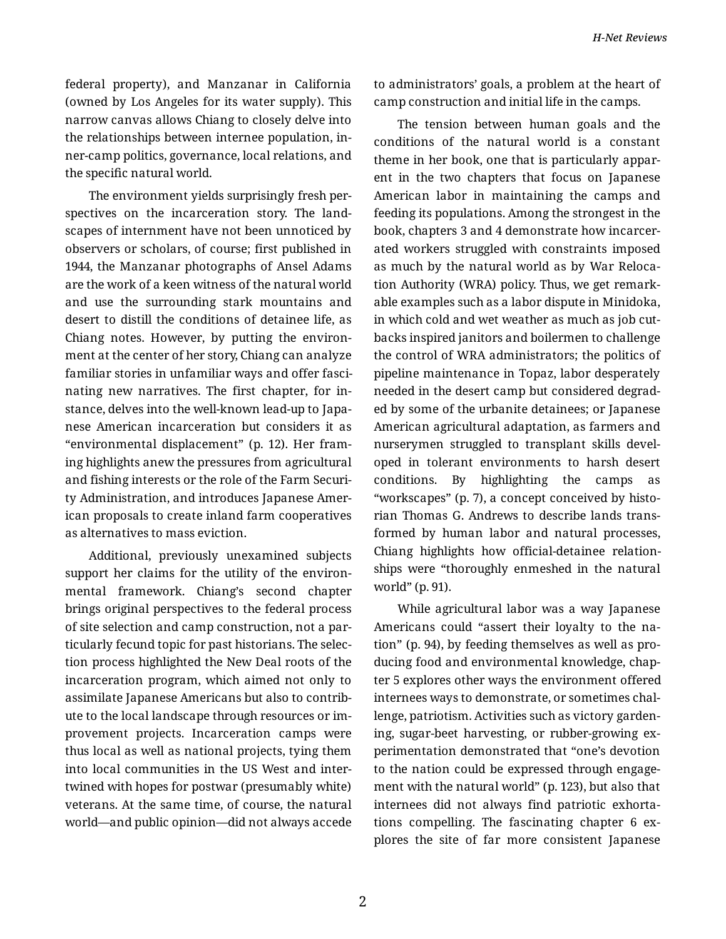federal property), and Manzanar in California (owned by Los Angeles for its water supply). This narrow canvas allows Chiang to closely delve into the relationships between internee population, in‐ ner-camp politics, governance, local relations, and the specific natural world.

The environment yields surprisingly fresh per‐ spectives on the incarceration story. The land‐ scapes of internment have not been unnoticed by observers or scholars, of course; first published in 1944, the Manzanar photographs of Ansel Adams are the work of a keen witness of the natural world and use the surrounding stark mountains and desert to distill the conditions of detainee life, as Chiang notes. However, by putting the environ‐ ment at the center of her story, Chiang can analyze familiar stories in unfamiliar ways and offer fascinating new narratives. The first chapter, for in‐ stance, delves into the well-known lead-up to Japa‐ nese American incarceration but considers it as "environmental displacement" (p. 12). Her fram‐ ing highlights anew the pressures from agricultural and fishing interests or the role of the Farm Securi‐ ty Administration, and introduces Japanese Amer‐ ican proposals to create inland farm cooperatives as alternatives to mass eviction.

Additional, previously unexamined subjects support her claims for the utility of the environmental framework. Chiang's second chapter brings original perspectives to the federal process of site selection and camp construction, not a par‐ ticularly fecund topic for past historians. The selec‐ tion process highlighted the New Deal roots of the incarceration program, which aimed not only to assimilate Japanese Americans but also to contrib‐ ute to the local landscape through resources or im‐ provement projects. Incarceration camps were thus local as well as national projects, tying them into local communities in the US West and inter‐ twined with hopes for postwar (presumably white) veterans. At the same time, of course, the natural world—and public opinion—did not always accede to administrators' goals, a problem at the heart of camp construction and initial life in the camps.

The tension between human goals and the conditions of the natural world is a constant theme in her book, one that is particularly appar‐ ent in the two chapters that focus on Japanese American labor in maintaining the camps and feeding its populations. Among the strongest in the book, chapters 3 and 4 demonstrate how incarcer‐ ated workers struggled with constraints imposed as much by the natural world as by War Reloca‐ tion Authority (WRA) policy. Thus, we get remark‐ able examples such as a labor dispute in Minidoka, in which cold and wet weather as much as job cut‐ backs inspired janitors and boilermen to challenge the control of WRA administrators; the politics of pipeline maintenance in Topaz, labor desperately needed in the desert camp but considered degrad‐ ed by some of the urbanite detainees; or Japanese American agricultural adaptation, as farmers and nurserymen struggled to transplant skills devel‐ oped in tolerant environments to harsh desert conditions. By highlighting the camps as "workscapes" (p. 7), a concept conceived by histo‐ rian Thomas G. Andrews to describe lands trans‐ formed by human labor and natural processes, Chiang highlights how official-detainee relation‐ ships were "thoroughly enmeshed in the natural world" (p. 91).

While agricultural labor was a way Japanese Americans could "assert their loyalty to the na‐ tion" (p. 94), by feeding themselves as well as pro‐ ducing food and environmental knowledge, chap‐ ter 5 explores other ways the environment offered internees ways to demonstrate, or sometimes chal‐ lenge, patriotism. Activities such as victory garden‐ ing, sugar-beet harvesting, or rubber-growing ex‐ perimentation demonstrated that "one's devotion to the nation could be expressed through engage‐ ment with the natural world" (p. 123), but also that internees did not always find patriotic exhorta‐ tions compelling. The fascinating chapter 6 ex‐ plores the site of far more consistent Japanese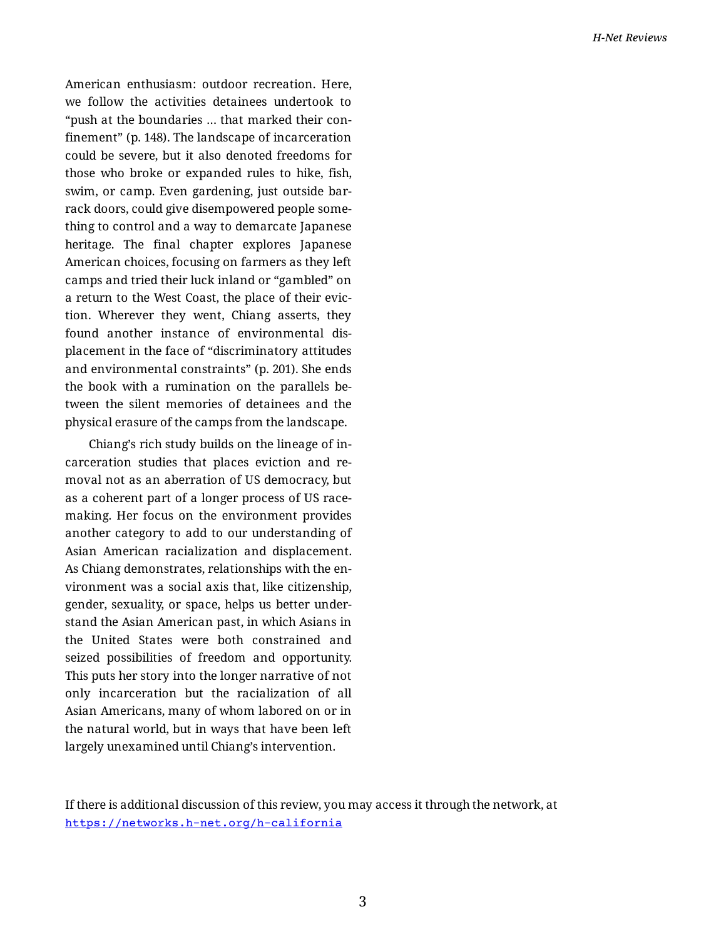American enthusiasm: outdoor recreation. Here, we follow the activities detainees undertook to "push at the boundaries … that marked their con‐ finement" (p. 148). The landscape of incarceration could be severe, but it also denoted freedoms for those who broke or expanded rules to hike, fish, swim, or camp. Even gardening, just outside bar‐ rack doors, could give disempowered people some‐ thing to control and a way to demarcate Japanese heritage. The final chapter explores Japanese American choices, focusing on farmers as they left camps and tried their luck inland or "gambled" on a return to the West Coast, the place of their evic‐ tion. Wherever they went, Chiang asserts, they found another instance of environmental dis‐ placement in the face of "discriminatory attitudes and environmental constraints" (p. 201). She ends the book with a rumination on the parallels be‐ tween the silent memories of detainees and the physical erasure of the camps from the landscape.

Chiang's rich study builds on the lineage of in‐ carceration studies that places eviction and re‐ moval not as an aberration of US democracy, but as a coherent part of a longer process of US racemaking. Her focus on the environment provides another category to add to our understanding of Asian American racialization and displacement. As Chiang demonstrates, relationships with the en‐ vironment was a social axis that, like citizenship, gender, sexuality, or space, helps us better under‐ stand the Asian American past, in which Asians in the United States were both constrained and seized possibilities of freedom and opportunity. This puts her story into the longer narrative of not only incarceration but the racialization of all Asian Americans, many of whom labored on or in the natural world, but in ways that have been left largely unexamined until Chiang's intervention.

If there is additional discussion of this review, you may access it through the network, at <https://networks.h-net.org/h-california>